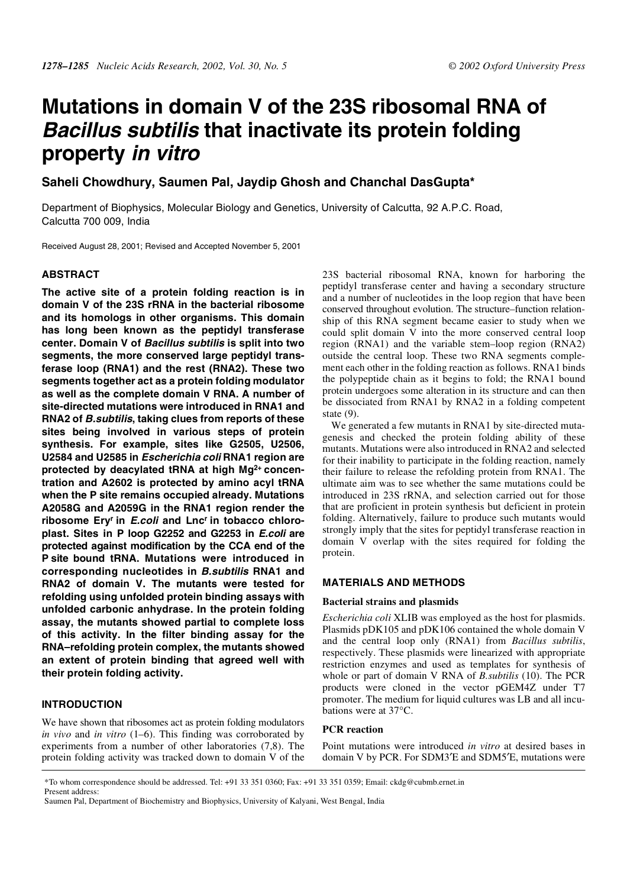# **Mutations in domain V of the 23S ribosomal RNA of Bacillus subtilis that inactivate its protein folding property in vitro**

**Saheli Chowdhury, Saumen Pal, Jaydip Ghosh and Chanchal DasGupta\***

Department of Biophysics, Molecular Biology and Genetics, University of Calcutta, 92 A.P.C. Road, Calcutta 700 009, India

Received August 28, 2001; Revised and Accepted November 5, 2001

# **ABSTRACT**

**The active site of a protein folding reaction is in domain V of the 23S rRNA in the bacterial ribosome and its homologs in other organisms. This domain has long been known as the peptidyl transferase center. Domain V of Bacillus subtilis is split into two segments, the more conserved large peptidyl transferase loop (RNA1) and the rest (RNA2). These two segments together act as a protein folding modulator as well as the complete domain V RNA. A number of site-directed mutations were introduced in RNA1 and RNA2 of B.subtilis, taking clues from reports of these sites being involved in various steps of protein synthesis. For example, sites like G2505, U2506, U2584 and U2585 in Escherichia coli RNA1 region are protected by deacylated tRNA at high Mg2+ concentration and A2602 is protected by amino acyl tRNA when the P site remains occupied already. Mutations A2058G and A2059G in the RNA1 region render the ribosome Eryr in E.coli and Lncr in tobacco chloroplast. Sites in P loop G2252 and G2253 in E.coli are protected against modification by the CCA end of the P site bound tRNA. Mutations were introduced in corresponding nucleotides in B.subtilis RNA1 and RNA2 of domain V. The mutants were tested for refolding using unfolded protein binding assays with unfolded carbonic anhydrase. In the protein folding assay, the mutants showed partial to complete loss of this activity. In the filter binding assay for the RNA–refolding protein complex, the mutants showed an extent of protein binding that agreed well with their protein folding activity.**

## **INTRODUCTION**

We have shown that ribosomes act as protein folding modulators *in vivo* and *in vitro* (1–6). This finding was corroborated by experiments from a number of other laboratories (7,8). The protein folding activity was tracked down to domain V of the 23S bacterial ribosomal RNA, known for harboring the peptidyl transferase center and having a secondary structure and a number of nucleotides in the loop region that have been conserved throughout evolution. The structure–function relationship of this RNA segment became easier to study when we could split domain V into the more conserved central loop region (RNA1) and the variable stem–loop region (RNA2) outside the central loop. These two RNA segments complement each other in the folding reaction as follows. RNA1 binds the polypeptide chain as it begins to fold; the RNA1 bound protein undergoes some alteration in its structure and can then be dissociated from RNA1 by RNA2 in a folding competent state (9).

We generated a few mutants in RNA1 by site-directed mutagenesis and checked the protein folding ability of these mutants. Mutations were also introduced in RNA2 and selected for their inability to participate in the folding reaction, namely their failure to release the refolding protein from RNA1. The ultimate aim was to see whether the same mutations could be introduced in 23S rRNA, and selection carried out for those that are proficient in protein synthesis but deficient in protein folding. Alternatively, failure to produce such mutants would strongly imply that the sites for peptidyl transferase reaction in domain V overlap with the sites required for folding the protein.

## **MATERIALS AND METHODS**

#### **Bacterial strains and plasmids**

*Escherichia coli* XLIB was employed as the host for plasmids. Plasmids pDK105 and pDK106 contained the whole domain V and the central loop only (RNA1) from *Bacillus subtilis*, respectively. These plasmids were linearized with appropriate restriction enzymes and used as templates for synthesis of whole or part of domain V RNA of *B.subtilis* (10). The PCR products were cloned in the vector pGEM4Z under T7 promoter. The medium for liquid cultures was LB and all incubations were at 37°C.

## **PCR reaction**

Point mutations were introduced *in vitro* at desired bases in domain V by PCR. For SDM3′E and SDM5′E, mutations were

<sup>\*</sup>To whom correspondence should be addressed. Tel: +91 33 351 0360; Fax: +91 33 351 0359; Email: ckdg@cubmb.ernet.in Present address:

Saumen Pal, Department of Biochemistry and Biophysics, University of Kalyani, West Bengal, India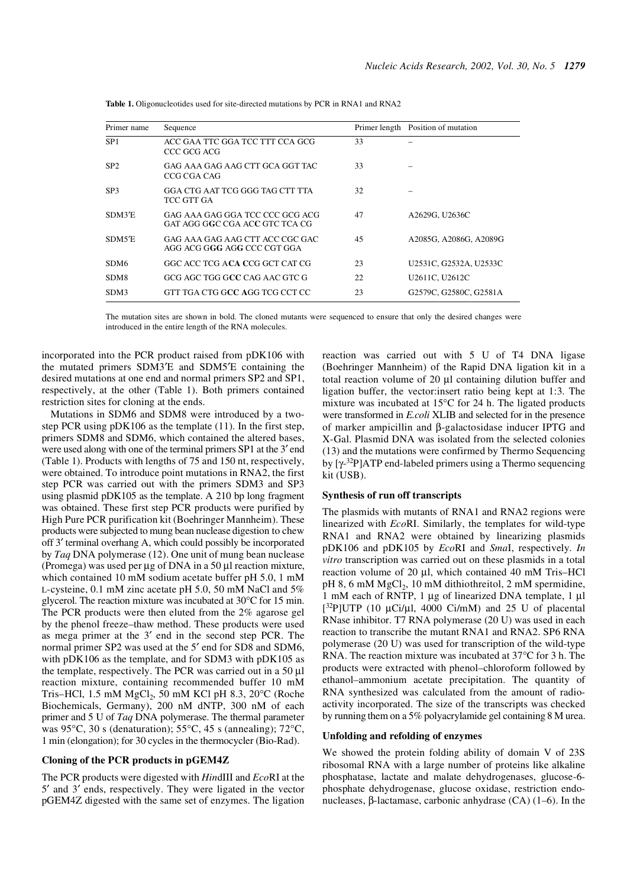| Primer name      | Sequence                                                          |    | Primer length Position of mutation |
|------------------|-------------------------------------------------------------------|----|------------------------------------|
| SP <sub>1</sub>  | ACC GAA TTC GGA TCC TTT CCA GCG<br>CCC GCG ACG                    | 33 |                                    |
| SP <sub>2</sub>  | GAG AAA GAG AAG CTT GCA GGT TAC<br>CCG CGA CAG                    | 33 |                                    |
| SP <sub>3</sub>  | GGA CTG AAT TCG GGG TAG CTT TTA<br>TCC GTT GA                     | 32 |                                    |
| SDM3'E           | GAG AAA GAG GGA TCC CCC GCG ACG<br>GAT AGG GGC CGA ACC GTC TCA CG | 47 | A2629G, U2636C                     |
| SDM5'E           | GAG AAA GAG AAG CTT ACC CGC GAC<br>AGG ACG GGG AGG CCC CGT GGA    | 45 | A2085G, A2086G, A2089G             |
| SDM <sub>6</sub> | GGC ACC TCG ACA CCG GCT CAT CG                                    | 23 | U2531C, G2532A, U2533C             |
| SDM8             | GCG AGC TGG GCC CAG AAC GTC G                                     | 22 | U2611C, U2612C                     |
| SDM3             | GTT TGA CTG GCC AGG TCG CCT CC                                    | 23 | G2579C, G2580C, G2581A             |

**Table 1.** Oligonucleotides used for site-directed mutations by PCR in RNA1 and RNA2

The mutation sites are shown in bold. The cloned mutants were sequenced to ensure that only the desired changes were introduced in the entire length of the RNA molecules.

incorporated into the PCR product raised from pDK106 with the mutated primers SDM3′E and SDM5′E containing the desired mutations at one end and normal primers SP2 and SP1, respectively, at the other (Table 1). Both primers contained restriction sites for cloning at the ends.

Mutations in SDM6 and SDM8 were introduced by a twostep PCR using pDK106 as the template (11). In the first step, primers SDM8 and SDM6, which contained the altered bases, were used along with one of the terminal primers SP1 at the 3′ end (Table 1). Products with lengths of 75 and 150 nt, respectively, were obtained. To introduce point mutations in RNA2, the first step PCR was carried out with the primers SDM3 and SP3 using plasmid pDK105 as the template. A 210 bp long fragment was obtained. These first step PCR products were purified by High Pure PCR purification kit (Boehringer Mannheim). These products were subjected to mung bean nuclease digestion to chew off 3′ terminal overhang A, which could possibly be incorporated by *Taq* DNA polymerase (12). One unit of mung bean nuclease (Promega) was used per  $\mu$ g of DNA in a 50  $\mu$ l reaction mixture, which contained 10 mM sodium acetate buffer pH 5.0, 1 mM L-cysteine, 0.1 mM zinc acetate pH 5.0, 50 mM NaCl and 5% glycerol. The reaction mixture was incubated at 30°C for 15 min. The PCR products were then eluted from the 2% agarose gel by the phenol freeze–thaw method. These products were used as mega primer at the 3′ end in the second step PCR. The normal primer SP2 was used at the 5′ end for SD8 and SDM6, with pDK106 as the template, and for SDM3 with pDK105 as the template, respectively. The PCR was carried out in a 50 µl reaction mixture, containing recommended buffer 10 mM Tris–HCl, 1.5 mM MgCl<sub>2</sub>, 50 mM KCl pH 8.3, 20 $^{\circ}$ C (Roche Biochemicals, Germany), 200 nM dNTP, 300 nM of each primer and 5 U of *Taq* DNA polymerase. The thermal parameter was 95°C, 30 s (denaturation); 55°C, 45 s (annealing); 72°C, 1 min (elongation); for 30 cycles in the thermocycler (Bio-Rad).

## **Cloning of the PCR products in pGEM4Z**

The PCR products were digested with *Hin*dIII and *Eco*RI at the 5′ and 3′ ends, respectively. They were ligated in the vector pGEM4Z digested with the same set of enzymes. The ligation reaction was carried out with 5 U of T4 DNA ligase (Boehringer Mannheim) of the Rapid DNA ligation kit in a total reaction volume of 20 µl containing dilution buffer and ligation buffer, the vector:insert ratio being kept at 1:3. The mixture was incubated at 15°C for 24 h. The ligated products were transformed in *E.coli* XLIB and selected for in the presence of marker ampicillin and β-galactosidase inducer IPTG and X-Gal. Plasmid DNA was isolated from the selected colonies (13) and the mutations were confirmed by Thermo Sequencing by  $[γ<sup>-32</sup>P]ATP$  end-labeled primers using a Thermo sequencing kit (USB).

#### **Synthesis of run off transcripts**

The plasmids with mutants of RNA1 and RNA2 regions were linearized with *Eco*RI. Similarly, the templates for wild-type RNA1 and RNA2 were obtained by linearizing plasmids pDK106 and pDK105 by *Eco*RI and *Sma*I, respectively. *In vitro* transcription was carried out on these plasmids in a total reaction volume of 20 µl, which contained 40 mM Tris–HCl  $pH 8$ , 6 mM MgCl<sub>2</sub>, 10 mM dithiothreitol, 2 mM spermidine, 1 mM each of RNTP, 1 µg of linearized DNA template, 1 µl  $[32P]$ UTP (10 µCi/µl, 4000 Ci/mM) and 25 U of placental RNase inhibitor. T7 RNA polymerase (20 U) was used in each reaction to transcribe the mutant RNA1 and RNA2. SP6 RNA polymerase (20 U) was used for transcription of the wild-type RNA. The reaction mixture was incubated at 37°C for 3 h. The products were extracted with phenol–chloroform followed by ethanol–ammonium acetate precipitation. The quantity of RNA synthesized was calculated from the amount of radioactivity incorporated. The size of the transcripts was checked by running them on a 5% polyacrylamide gel containing 8 M urea.

#### **Unfolding and refolding of enzymes**

We showed the protein folding ability of domain V of 23S ribosomal RNA with a large number of proteins like alkaline phosphatase, lactate and malate dehydrogenases, glucose-6 phosphate dehydrogenase, glucose oxidase, restriction endonucleases, β-lactamase, carbonic anhydrase (CA) (1–6). In the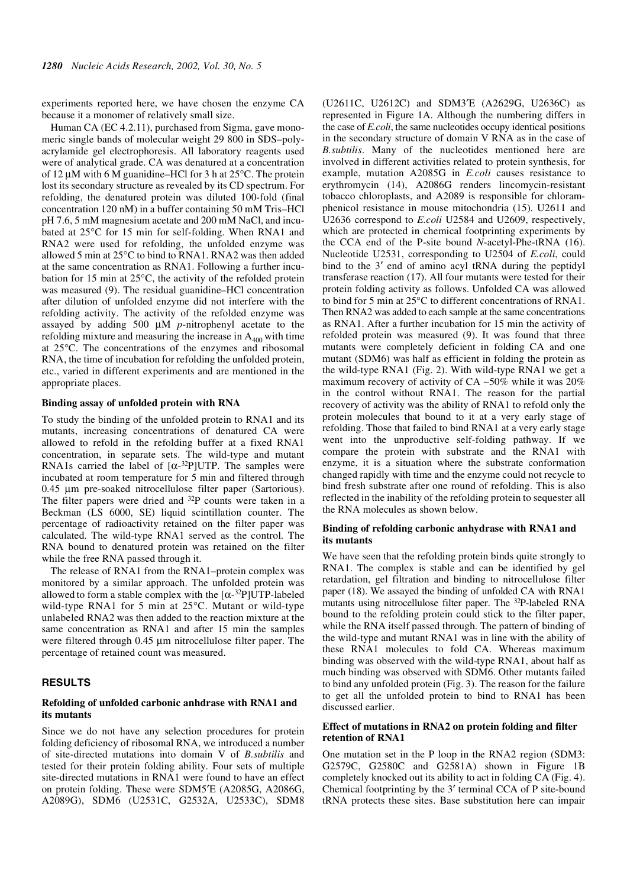experiments reported here, we have chosen the enzyme CA because it a monomer of relatively small size.

Human CA (EC 4.2.11), purchased from Sigma, gave monomeric single bands of molecular weight 29 800 in SDS–polyacrylamide gel electrophoresis. All laboratory reagents used were of analytical grade. CA was denatured at a concentration of 12  $\mu$ M with 6 M guanidine–HCl for 3 h at 25 $\degree$ C. The protein lost its secondary structure as revealed by its CD spectrum. For refolding, the denatured protein was diluted 100-fold (final concentration 120 nM) in a buffer containing 50 mM Tris–HCl pH 7.6, 5 mM magnesium acetate and 200 mM NaCl, and incubated at 25°C for 15 min for self-folding. When RNA1 and RNA2 were used for refolding, the unfolded enzyme was allowed 5 min at 25°C to bind to RNA1. RNA2 was then added at the same concentration as RNA1. Following a further incubation for 15 min at 25°C, the activity of the refolded protein was measured (9). The residual guanidine–HCl concentration after dilution of unfolded enzyme did not interfere with the refolding activity. The activity of the refolded enzyme was assayed by adding 500 µM *p*-nitrophenyl acetate to the refolding mixture and measuring the increase in  $A_{400}$  with time at 25°C. The concentrations of the enzymes and ribosomal RNA, the time of incubation for refolding the unfolded protein, etc., varied in different experiments and are mentioned in the appropriate places.

## **Binding assay of unfolded protein with RNA**

To study the binding of the unfolded protein to RNA1 and its mutants, increasing concentrations of denatured CA were allowed to refold in the refolding buffer at a fixed RNA1 concentration, in separate sets. The wild-type and mutant RNA1s carried the label of  $[\alpha^{-32}P]$ UTP. The samples were incubated at room temperature for 5 min and filtered through 0.45 µm pre-soaked nitrocellulose filter paper (Sartorious). The filter papers were dried and <sup>32</sup>P counts were taken in a Beckman (LS 6000, SE) liquid scintillation counter. The percentage of radioactivity retained on the filter paper was calculated. The wild-type RNA1 served as the control. The RNA bound to denatured protein was retained on the filter while the free RNA passed through it.

The release of RNA1 from the RNA1–protein complex was monitored by a similar approach. The unfolded protein was allowed to form a stable complex with the  $\lceil \alpha^{-32}P \rceil$ UTP-labeled wild-type RNA1 for 5 min at 25°C. Mutant or wild-type unlabeled RNA2 was then added to the reaction mixture at the same concentration as RNA1 and after 15 min the samples were filtered through 0.45 µm nitrocellulose filter paper. The percentage of retained count was measured.

### **RESULTS**

#### **Refolding of unfolded carbonic anhdrase with RNA1 and its mutants**

Since we do not have any selection procedures for protein folding deficiency of ribosomal RNA, we introduced a number of site-directed mutations into domain V of *B.subtilis* and tested for their protein folding ability. Four sets of multiple site-directed mutations in RNA1 were found to have an effect on protein folding. These were SDM5′E (A2085G, A2086G, A2089G), SDM6 (U2531C, G2532A, U2533C), SDM8 (U2611C, U2612C) and SDM3′E (A2629G, U2636C) as represented in Figure 1A. Although the numbering differs in the case of *E.coli*, the same nucleotides occupy identical positions in the secondary structure of domain V RNA as in the case of *B.subtilis*. Many of the nucleotides mentioned here are involved in different activities related to protein synthesis, for example, mutation A2085G in *E.coli* causes resistance to erythromycin (14), A2086G renders lincomycin-resistant tobacco chloroplasts, and A2089 is responsible for chloramphenicol resistance in mouse mitochondria (15). U2611 and U2636 correspond to *E.coli* U2584 and U2609, respectively, which are protected in chemical footprinting experiments by the CCA end of the P-site bound *N*-acetyl-Phe-tRNA (16). Nucleotide U2531, corresponding to U2504 of *E.coli*, could bind to the 3′ end of amino acyl tRNA during the peptidyl transferase reaction (17). All four mutants were tested for their protein folding activity as follows. Unfolded CA was allowed to bind for 5 min at 25°C to different concentrations of RNA1. Then RNA2 was added to each sample at the same concentrations as RNA1. After a further incubation for 15 min the activity of refolded protein was measured (9). It was found that three mutants were completely deficient in folding CA and one mutant (SDM6) was half as efficient in folding the protein as the wild-type RNA1 (Fig. 2). With wild-type RNA1 we get a maximum recovery of activity of CA ∼50% while it was 20% in the control without RNA1. The reason for the partial recovery of activity was the ability of RNA1 to refold only the protein molecules that bound to it at a very early stage of refolding. Those that failed to bind RNA1 at a very early stage went into the unproductive self-folding pathway. If we compare the protein with substrate and the RNA1 with enzyme, it is a situation where the substrate conformation changed rapidly with time and the enzyme could not recycle to bind fresh substrate after one round of refolding. This is also reflected in the inability of the refolding protein to sequester all the RNA molecules as shown below.

#### **Binding of refolding carbonic anhydrase with RNA1 and its mutants**

We have seen that the refolding protein binds quite strongly to RNA1. The complex is stable and can be identified by gel retardation, gel filtration and binding to nitrocellulose filter paper (18). We assayed the binding of unfolded CA with RNA1 mutants using nitrocellulose filter paper. The 32P-labeled RNA bound to the refolding protein could stick to the filter paper, while the RNA itself passed through. The pattern of binding of the wild-type and mutant RNA1 was in line with the ability of these RNA1 molecules to fold CA. Whereas maximum binding was observed with the wild-type RNA1, about half as much binding was observed with SDM6. Other mutants failed to bind any unfolded protein (Fig. 3). The reason for the failure to get all the unfolded protein to bind to RNA1 has been discussed earlier.

#### **Effect of mutations in RNA2 on protein folding and filter retention of RNA1**

One mutation set in the P loop in the RNA2 region (SDM3: G2579C, G2580C and G2581A) shown in Figure 1B completely knocked out its ability to act in folding CA (Fig. 4). Chemical footprinting by the 3′ terminal CCA of P site-bound tRNA protects these sites. Base substitution here can impair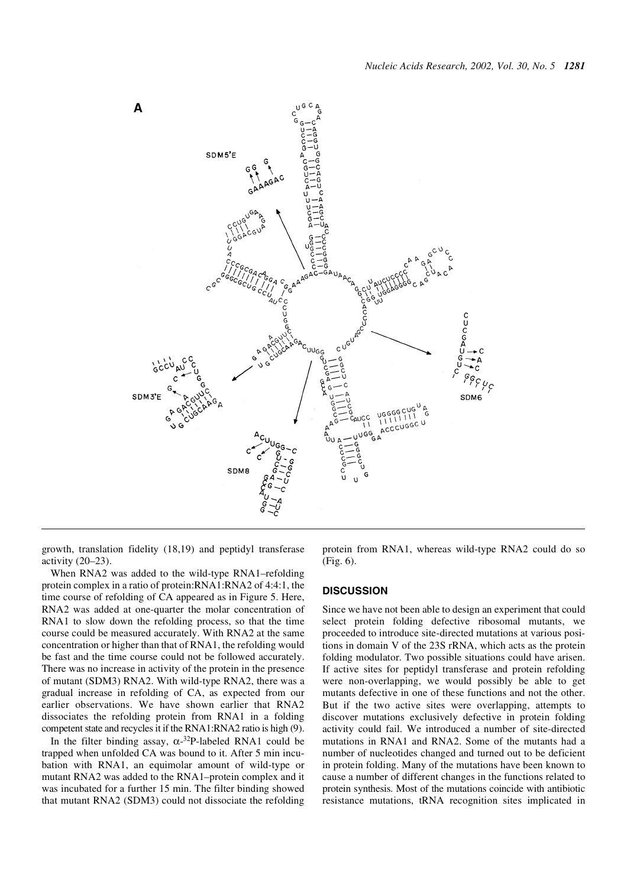

growth, translation fidelity (18,19) and peptidyl transferase activity (20–23).

When RNA2 was added to the wild-type RNA1–refolding protein complex in a ratio of protein:RNA1:RNA2 of 4:4:1, the time course of refolding of CA appeared as in Figure 5. Here, RNA2 was added at one-quarter the molar concentration of RNA1 to slow down the refolding process, so that the time course could be measured accurately. With RNA2 at the same concentration or higher than that of RNA1, the refolding would be fast and the time course could not be followed accurately. There was no increase in activity of the protein in the presence of mutant (SDM3) RNA2. With wild-type RNA2, there was a gradual increase in refolding of CA, as expected from our earlier observations. We have shown earlier that RNA2 dissociates the refolding protein from RNA1 in a folding competent state and recycles it if the RNA1:RNA2 ratio is high (9).

In the filter binding assay,  $\alpha$ -3<sup>2</sup>P-labeled RNA1 could be trapped when unfolded CA was bound to it. After 5 min incubation with RNA1, an equimolar amount of wild-type or mutant RNA2 was added to the RNA1–protein complex and it was incubated for a further 15 min. The filter binding showed that mutant RNA2 (SDM3) could not dissociate the refolding

protein from RNA1, whereas wild-type RNA2 could do so (Fig. 6).

## **DISCUSSION**

Since we have not been able to design an experiment that could select protein folding defective ribosomal mutants, we proceeded to introduce site-directed mutations at various positions in domain V of the 23S rRNA, which acts as the protein folding modulator. Two possible situations could have arisen. If active sites for peptidyl transferase and protein refolding were non-overlapping, we would possibly be able to get mutants defective in one of these functions and not the other. But if the two active sites were overlapping, attempts to discover mutations exclusively defective in protein folding activity could fail. We introduced a number of site-directed mutations in RNA1 and RNA2. Some of the mutants had a number of nucleotides changed and turned out to be deficient in protein folding. Many of the mutations have been known to cause a number of different changes in the functions related to protein synthesis. Most of the mutations coincide with antibiotic resistance mutations, tRNA recognition sites implicated in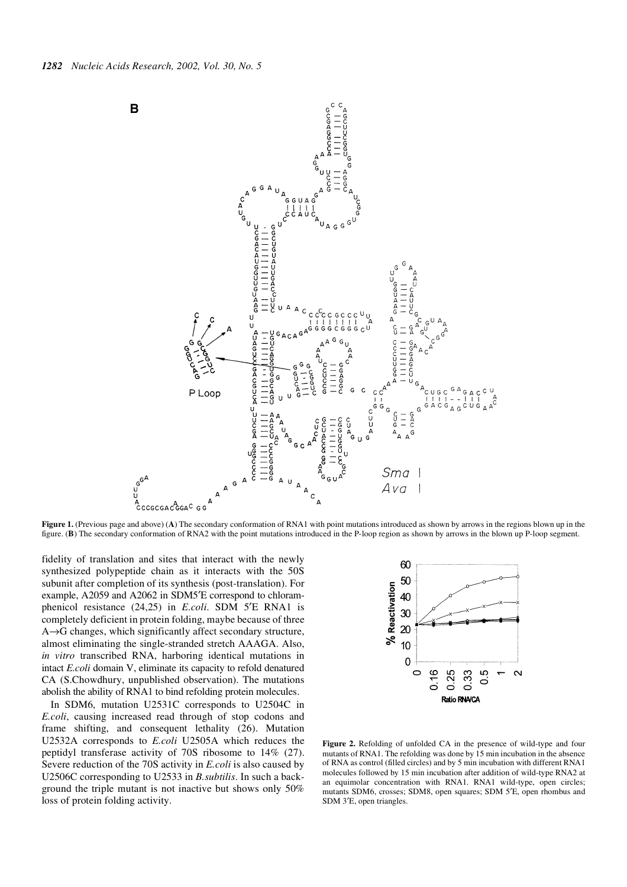

**Figure 1.** (Previous page and above) (A) The secondary conformation of RNA1 with point mutations introduced as shown by arrows in the regions blown up in the figure. (**B**) The secondary conformation of RNA2 with the point mutations introduced in the P-loop region as shown by arrows in the blown up P-loop segment.

fidelity of translation and sites that interact with the newly synthesized polypeptide chain as it interacts with the 50S subunit after completion of its synthesis (post-translation). For example, A2059 and A2062 in SDM5′E correspond to chloramphenicol resistance (24,25) in *E.coli*. SDM 5′E RNA1 is completely deficient in protein folding, maybe because of three A→G changes, which significantly affect secondary structure, almost eliminating the single-stranded stretch AAAGA. Also, *in vitro* transcribed RNA, harboring identical mutations in intact *E.coli* domain V, eliminate its capacity to refold denatured CA (S.Chowdhury, unpublished observation). The mutations abolish the ability of RNA1 to bind refolding protein molecules.

In SDM6, mutation U2531C corresponds to U2504C in *E.coli*, causing increased read through of stop codons and frame shifting, and consequent lethality (26). Mutation U2532A corresponds to *E.coli* U2505A which reduces the peptidyl transferase activity of 70S ribosome to 14% (27). Severe reduction of the 70S activity in *E.coli* is also caused by U2506C corresponding to U2533 in *B.subtilis*. In such a background the triple mutant is not inactive but shows only 50% loss of protein folding activity.



**Figure 2.** Refolding of unfolded CA in the presence of wild-type and four mutants of RNA1. The refolding was done by 15 min incubation in the absence of RNA as control (filled circles) and by 5 min incubation with different RNA1 molecules followed by 15 min incubation after addition of wild-type RNA2 at an equimolar concentration with RNA1. RNA1 wild-type, open circles; mutants SDM6, crosses; SDM8, open squares; SDM 5′E, open rhombus and SDM 3′E, open triangles.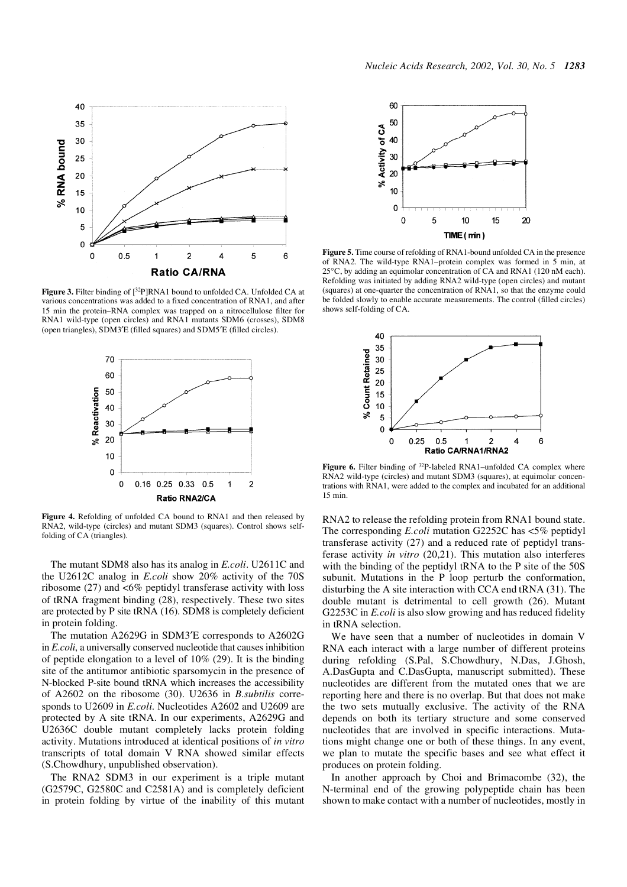

**Figure 3.** Filter binding of [32P]RNA1 bound to unfolded CA. Unfolded CA at various concentrations was added to a fixed concentration of RNA1, and after 15 min the protein–RNA complex was trapped on a nitrocellulose filter for RNA1 wild-type (open circles) and RNA1 mutants SDM6 (crosses), SDM8 (open triangles), SDM3′E (filled squares) and SDM5′E (filled circles).



**Figure 4.** Refolding of unfolded CA bound to RNA1 and then released by RNA2, wild-type (circles) and mutant SDM3 (squares). Control shows selffolding of CA (triangles).

The mutant SDM8 also has its analog in *E.coli*. U2611C and the U2612C analog in *E.coli* show 20% activity of the 70S ribosome  $(27)$  and  $\leq 6\%$  peptidyl transferase activity with loss of tRNA fragment binding (28), respectively. These two sites are protected by P site tRNA (16). SDM8 is completely deficient in protein folding.

The mutation A2629G in SDM3′E corresponds to A2602G in *E.coli*, a universally conserved nucleotide that causes inhibition of peptide elongation to a level of 10% (29). It is the binding site of the antitumor antibiotic sparsomycin in the presence of N-blocked P-site bound tRNA which increases the accessibility of A2602 on the ribosome (30). U2636 in *B.subtilis* corresponds to U2609 in *E.coli*. Nucleotides A2602 and U2609 are protected by A site tRNA. In our experiments, A2629G and U2636C double mutant completely lacks protein folding activity. Mutations introduced at identical positions of *in vitro* transcripts of total domain V RNA showed similar effects (S.Chowdhury, unpublished observation).

The RNA2 SDM3 in our experiment is a triple mutant (G2579C, G2580C and C2581A) and is completely deficient in protein folding by virtue of the inability of this mutant



**Figure 5.** Time course of refolding of RNA1-bound unfolded CA in the presence of RNA2. The wild-type RNA1–protein complex was formed in 5 min, at 25°C, by adding an equimolar concentration of CA and RNA1 (120 nM each). Refolding was initiated by adding RNA2 wild-type (open circles) and mutant (squares) at one-quarter the concentration of RNA1, so that the enzyme could be folded slowly to enable accurate measurements. The control (filled circles) shows self-folding of CA.



Figure 6. Filter binding of <sup>32</sup>P-labeled RNA1–unfolded CA complex where RNA2 wild-type (circles) and mutant SDM3 (squares), at equimolar concentrations with RNA1, were added to the complex and incubated for an additional 15 min.

RNA2 to release the refolding protein from RNA1 bound state. The corresponding *E.coli* mutation G2252C has <5% peptidyl transferase activity (27) and a reduced rate of peptidyl transferase activity *in vitro* (20,21). This mutation also interferes with the binding of the peptidyl tRNA to the P site of the 50S subunit. Mutations in the P loop perturb the conformation, disturbing the A site interaction with CCA end tRNA (31). The double mutant is detrimental to cell growth (26). Mutant G2253C in *E.coli* is also slow growing and has reduced fidelity in tRNA selection.

We have seen that a number of nucleotides in domain V RNA each interact with a large number of different proteins during refolding (S.Pal, S.Chowdhury, N.Das, J.Ghosh, A.DasGupta and C.DasGupta, manuscript submitted). These nucleotides are different from the mutated ones that we are reporting here and there is no overlap. But that does not make the two sets mutually exclusive. The activity of the RNA depends on both its tertiary structure and some conserved nucleotides that are involved in specific interactions. Mutations might change one or both of these things. In any event, we plan to mutate the specific bases and see what effect it produces on protein folding.

In another approach by Choi and Brimacombe (32), the N-terminal end of the growing polypeptide chain has been shown to make contact with a number of nucleotides, mostly in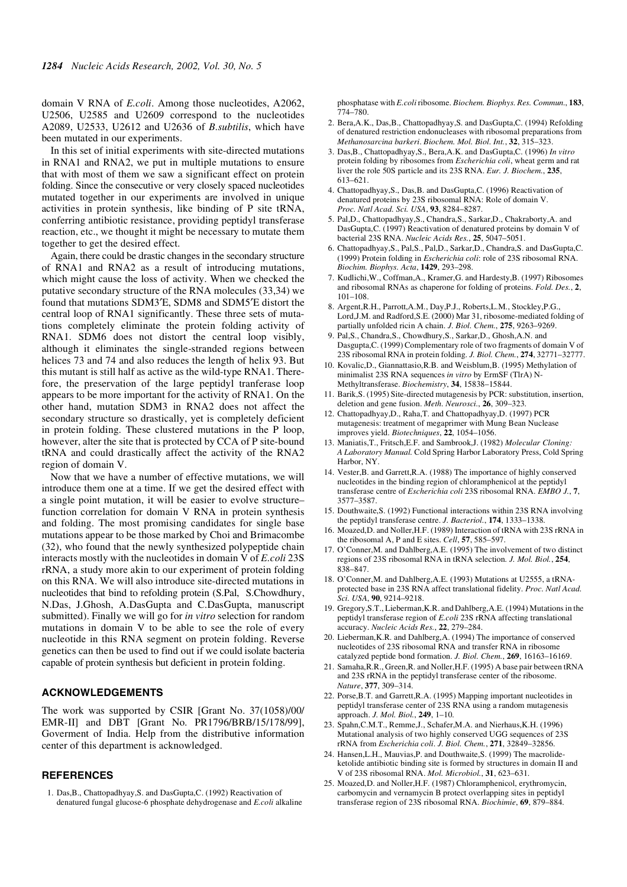domain V RNA of *E.coli*. Among those nucleotides, A2062, U2506, U2585 and U2609 correspond to the nucleotides A2089, U2533, U2612 and U2636 of *B.subtilis*, which have been mutated in our experiments.

In this set of initial experiments with site-directed mutations in RNA1 and RNA2, we put in multiple mutations to ensure that with most of them we saw a significant effect on protein folding. Since the consecutive or very closely spaced nucleotides mutated together in our experiments are involved in unique activities in protein synthesis, like binding of P site tRNA, conferring antibiotic resistance, providing peptidyl transferase reaction, etc., we thought it might be necessary to mutate them together to get the desired effect.

Again, there could be drastic changes in the secondary structure of RNA1 and RNA2 as a result of introducing mutations, which might cause the loss of activity. When we checked the putative secondary structure of the RNA molecules (33,34) we found that mutations SDM3′E, SDM8 and SDM5′E distort the central loop of RNA1 significantly. These three sets of mutations completely eliminate the protein folding activity of RNA1. SDM6 does not distort the central loop visibly, although it eliminates the single-stranded regions between helices 73 and 74 and also reduces the length of helix 93. But this mutant is still half as active as the wild-type RNA1. Therefore, the preservation of the large peptidyl tranferase loop appears to be more important for the activity of RNA1. On the other hand, mutation SDM3 in RNA2 does not affect the secondary structure so drastically, yet is completely deficient in protein folding. These clustered mutations in the P loop, however, alter the site that is protected by CCA of P site-bound tRNA and could drastically affect the activity of the RNA2 region of domain V.

Now that we have a number of effective mutations, we will introduce them one at a time. If we get the desired effect with a single point mutation, it will be easier to evolve structure– function correlation for domain V RNA in protein synthesis and folding. The most promising candidates for single base mutations appear to be those marked by Choi and Brimacombe (32), who found that the newly synthesized polypeptide chain interacts mostly with the nucleotides in domain V of *E.coli* 23S rRNA, a study more akin to our experiment of protein folding on this RNA. We will also introduce site-directed mutations in nucleotides that bind to refolding protein (S.Pal, S.Chowdhury, N.Das, J.Ghosh, A.DasGupta and C.DasGupta, manuscript submitted). Finally we will go for *in vitro* selection for random mutations in domain V to be able to see the role of every nucleotide in this RNA segment on protein folding. Reverse genetics can then be used to find out if we could isolate bacteria capable of protein synthesis but deficient in protein folding.

## **ACKNOWLEDGEMENTS**

The work was supported by CSIR [Grant No. 37(1058)/00/ EMR-II] and DBT [Grant No. PR1796/BRB/15/178/99], Goverment of India. Help from the distributive information center of this department is acknowledged.

#### **REFERENCES**

1. Das,B., Chattopadhyay,S. and DasGupta,C. (1992) Reactivation of denatured fungal glucose-6 phosphate dehydrogenase and *E.coli* alkaline phosphatase with *E.coli* ribosome. *Biochem. Biophys. Res. Commun.*, **183**,  $774 - 780.$ 

- 2. Bera,A.K., Das,B., Chattopadhyay,S. and DasGupta,C. (1994) Refolding of denatured restriction endonucleases with ribosomal preparations from *Methanosarcina barkeri*. *Biochem. Mol. Biol. Int.*, **32**, 315–323.
- 3. Das,B., Chattopadhyay,S., Bera,A.K. and DasGupta,C. (1996) *In vitro* protein folding by ribosomes from *Escherichia coli*, wheat germ and rat liver the role 50S particle and its 23S RNA. *Eur. J. Biochem.*, **235**, 613–621.
- 4. Chattopadhyay,S., Das,B. and DasGupta,C. (1996) Reactivation of denatured proteins by 23S ribosomal RNA: Role of domain V. *Proc. Natl Acad. Sci. USA*, **93**, 8284–8287.
- 5. Pal,D., Chattopadhyay,S., Chandra,S., Sarkar,D., Chakraborty,A. and DasGupta,C. (1997) Reactivation of denatured proteins by domain V of bacterial 23S RNA. *Nucleic Acids Res.*, **25**, 5047–5051.
- 6. Chattopadhyay,S., Pal,S., Pal,D., Sarkar,D., Chandra,S. and DasGupta,C. (1999) Protein folding in *Escherichia coli*: role of 23S ribosomal RNA. *Biochim. Biophys. Acta*, **1429**, 293–298.
- 7. Kudlichi,W., Coffman,A., Kramer,G. and Hardesty,B. (1997) Ribosomes and ribosomal RNAs as chaperone for folding of proteins. *Fold. Des.*, **2**, 101–108.
- 8. Argent,R.H., Parrott,A.M., Day,P.J., Roberts,L.M., Stockley,P.G., Lord,J.M. and Radford,S.E. (2000) Mar 31, ribosome-mediated folding of partially unfolded ricin A chain. *J. Biol. Chem.*, **275**, 9263–9269.
- 9. Pal,S., Chandra,S., Chowdhury,S., Sarkar,D., Ghosh,A.N. and Dasgupta,C. (1999) Complementary role of two fragments of domain V of 23S ribosomal RNA in protein folding. *J. Biol. Chem.*, **274**, 32771–32777.
- 10. Kovalic,D., Giannattasio,R.B. and Weisblum,B. (1995) Methylation of minimalist 23S RNA sequences *in vitro* by ErmSF (TlrA) N-Methyltransferase. *Biochemistry*, **34**, 15838–15844.
- 11. Barik,S. (1995) Site-directed mutagenesis by PCR: substitution, insertion, deletion and gene fusion. *Meth. Neurosci.*, **26**, 309–323.
- 12. Chattopadhyay,D., Raha,T. and Chattopadhyay,D. (1997) PCR mutagenesis: treatment of megaprimer with Mung Bean Nuclease improves yield. *Biotechniques*, **22**, 1054–1056.
- 13. Maniatis,T., Fritsch,E.F. and Sambrook,J. (1982) *Molecular Cloning: A Laboratory Manual.* Cold Spring Harbor Laboratory Press, Cold Spring Harbor, NY.
- 14. Vester,B. and Garrett,R.A. (1988) The importance of highly conserved nucleotides in the binding region of chloramphenicol at the peptidyl transferase centre of *Escherichia coli* 23S ribosomal RNA. *EMBO J.*, **7**, 3577–3587.
- 15. Douthwaite,S. (1992) Functional interactions within 23S RNA involving the peptidyl transferase centre. *J. Bacteriol.*, **174**, 1333–1338.
- 16. Moazed,D. and Noller,H.F. (1989) Interaction of tRNA with 23S rRNA in the ribosomal A, P and E sites. *Cell*, **57**, 585–597.
- 17. O'Conner,M. and Dahlberg,A.E. (1995) The involvement of two distinct regions of 23S ribosomal RNA in tRNA selection*. J. Mol. Biol.*, **254**, 838–847.
- 18. O'Conner,M. and Dahlberg,A.E. (1993) Mutations at U2555, a tRNAprotected base in 23S RNA affect translational fidelity. *Proc. Natl Acad. Sci. USA*, **90**, 9214–9218.
- 19. Gregory,S.T., Lieberman,K.R. and Dahlberg,A.E. (1994) Mutations in the peptidyl transferase region of *E.coli* 23S rRNA affecting translational accuracy. *Nucleic Acids Res.*, **22**, 279–284.
- 20. Lieberman,K.R. and Dahlberg,A. (1994) The importance of conserved nucleotides of 23S ribosomal RNA and transfer RNA in ribosome catalyzed peptide bond formation. *J. Biol. Chem.*, **269**, 16163–16169.
- 21. Samaha,R.R., Green,R. and Noller,H.F. (1995) A base pair between tRNA and 23S rRNA in the peptidyl transferase center of the ribosome. *Nature*, **377**, 309–314.
- 22. Porse,B.T. and Garrett,R.A. (1995) Mapping important nucleotides in peptidyl transferase center of 23S RNA using a random mutagenesis approach. *J. Mol. Biol.*, **249**, 1–10.
- 23. Spahn,C.M.T., Remme,J., Schafer,M.A. and Nierhaus,K.H. (1996) Mutational analysis of two highly conserved UGG sequences of 23S rRNA from *Escherichia coli*. *J. Biol. Chem.*, **271**, 32849–32856.
- 24. Hansen,L.H., Mauvias,P. and Douthwaite,S. (1999) The macrolideketolide antibiotic binding site is formed by structures in domain II and V of 23S ribosomal RNA. *Mol. Microbiol.*, **31**, 623–631.
- 25. Moazed,D. and Noller,H.F. (1987) Chloramphenicol, erythromycin, carbomycin and vernamycin B protect overlapping sites in peptidyl transferase region of 23S ribosomal RNA. *Biochimie*, **69**, 879–884.